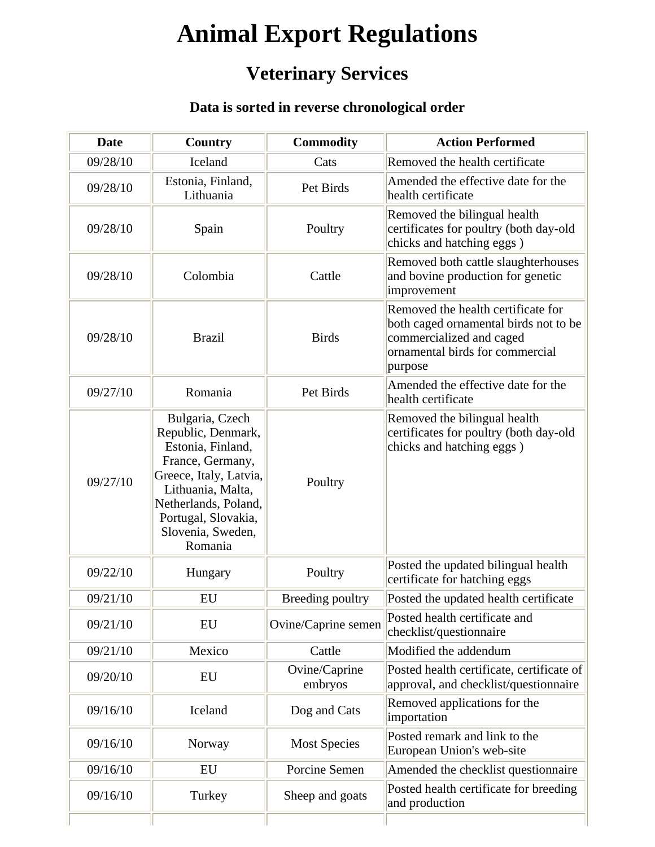## **Animal Export Regulations**

## **Veterinary Services**

## **Data is sorted in reverse chronological order**

| <b>Date</b> | Country                                                                                                                                                                                                      | <b>Commodity</b>         | <b>Action Performed</b>                                                                                                                               |
|-------------|--------------------------------------------------------------------------------------------------------------------------------------------------------------------------------------------------------------|--------------------------|-------------------------------------------------------------------------------------------------------------------------------------------------------|
| 09/28/10    | Iceland                                                                                                                                                                                                      | Cats                     | Removed the health certificate                                                                                                                        |
| 09/28/10    | Estonia, Finland,<br>Lithuania                                                                                                                                                                               | Pet Birds                | Amended the effective date for the<br>health certificate                                                                                              |
| 09/28/10    | Spain                                                                                                                                                                                                        | Poultry                  | Removed the bilingual health<br>certificates for poultry (both day-old<br>chicks and hatching eggs)                                                   |
| 09/28/10    | Colombia                                                                                                                                                                                                     | Cattle                   | Removed both cattle slaughterhouses<br>and bovine production for genetic<br>improvement                                                               |
| 09/28/10    | <b>Brazil</b>                                                                                                                                                                                                | <b>Birds</b>             | Removed the health certificate for<br>both caged ornamental birds not to be<br>commercialized and caged<br>ornamental birds for commercial<br>purpose |
| 09/27/10    | Romania                                                                                                                                                                                                      | Pet Birds                | Amended the effective date for the<br>health certificate                                                                                              |
| 09/27/10    | Bulgaria, Czech<br>Republic, Denmark,<br>Estonia, Finland,<br>France, Germany,<br>Greece, Italy, Latvia,<br>Lithuania, Malta,<br>Netherlands, Poland,<br>Portugal, Slovakia,<br>Slovenia, Sweden,<br>Romania | Poultry                  | Removed the bilingual health<br>certificates for poultry (both day-old<br>chicks and hatching eggs)                                                   |
| 09/22/10    | Hungary                                                                                                                                                                                                      | Poultry                  | Posted the updated bilingual health<br>certificate for hatching eggs                                                                                  |
| 09/21/10    | EU                                                                                                                                                                                                           | Breeding poultry         | Posted the updated health certificate                                                                                                                 |
| 09/21/10    | EU                                                                                                                                                                                                           | Ovine/Caprine semen      | Posted health certificate and<br>checklist/questionnaire                                                                                              |
| 09/21/10    | Mexico                                                                                                                                                                                                       | Cattle                   | Modified the addendum                                                                                                                                 |
| 09/20/10    | EU                                                                                                                                                                                                           | Ovine/Caprine<br>embryos | Posted health certificate, certificate of<br>approval, and checklist/questionnaire                                                                    |
| 09/16/10    | Iceland                                                                                                                                                                                                      | Dog and Cats             | Removed applications for the<br>importation                                                                                                           |
| 09/16/10    | Norway                                                                                                                                                                                                       | <b>Most Species</b>      | Posted remark and link to the<br>European Union's web-site                                                                                            |
| 09/16/10    | EU                                                                                                                                                                                                           | Porcine Semen            | Amended the checklist questionnaire                                                                                                                   |
| 09/16/10    | Turkey                                                                                                                                                                                                       | Sheep and goats          | Posted health certificate for breeding<br>and production                                                                                              |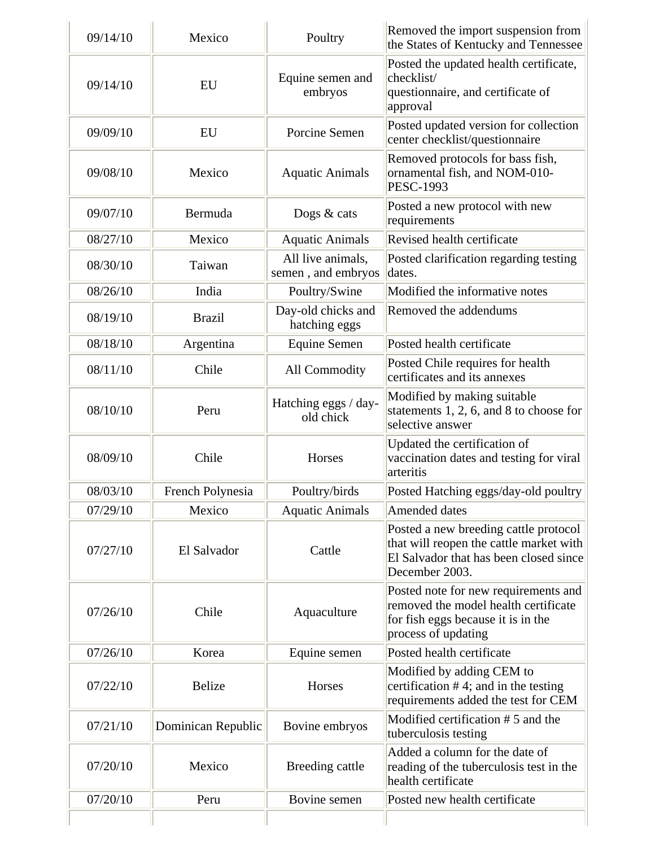| 09/14/10 | Mexico             | Poultry                                 | Removed the import suspension from<br>the States of Kentucky and Tennessee                                                                   |
|----------|--------------------|-----------------------------------------|----------------------------------------------------------------------------------------------------------------------------------------------|
| 09/14/10 | <b>EU</b>          | Equine semen and<br>embryos             | Posted the updated health certificate,<br>checklist/<br>questionnaire, and certificate of<br>approval                                        |
| 09/09/10 | EU                 | Porcine Semen                           | Posted updated version for collection<br>center checklist/questionnaire                                                                      |
| 09/08/10 | Mexico             | <b>Aquatic Animals</b>                  | Removed protocols for bass fish,<br>ornamental fish, and NOM-010-<br><b>PESC-1993</b>                                                        |
| 09/07/10 | Bermuda            | Dogs $&$ cats                           | Posted a new protocol with new<br>requirements                                                                                               |
| 08/27/10 | Mexico             | <b>Aquatic Animals</b>                  | Revised health certificate                                                                                                                   |
| 08/30/10 | Taiwan             | All live animals,<br>semen, and embryos | Posted clarification regarding testing<br>dates.                                                                                             |
| 08/26/10 | India              | Poultry/Swine                           | Modified the informative notes                                                                                                               |
| 08/19/10 | <b>Brazil</b>      | Day-old chicks and<br>hatching eggs     | Removed the addendums                                                                                                                        |
| 08/18/10 | Argentina          | <b>Equine Semen</b>                     | Posted health certificate                                                                                                                    |
| 08/11/10 | Chile              | All Commodity                           | Posted Chile requires for health<br>certificates and its annexes                                                                             |
| 08/10/10 | Peru               | Hatching eggs / day-<br>old chick       | Modified by making suitable<br>statements $1, 2, 6$ , and $8$ to choose for<br>selective answer                                              |
| 08/09/10 | Chile              | Horses                                  | Updated the certification of<br>vaccination dates and testing for viral<br>arteritis                                                         |
| 08/03/10 | French Polynesia   | Poultry/birds                           | Posted Hatching eggs/day-old poultry                                                                                                         |
| 07/29/10 | Mexico             | <b>Aquatic Animals</b>                  | Amended dates                                                                                                                                |
| 07/27/10 | El Salvador        | Cattle                                  | Posted a new breeding cattle protocol<br>that will reopen the cattle market with<br>El Salvador that has been closed since<br>December 2003. |
| 07/26/10 | Chile              | Aquaculture                             | Posted note for new requirements and<br>removed the model health certificate<br>for fish eggs because it is in the<br>process of updating    |
| 07/26/10 | Korea              | Equine semen                            | Posted health certificate                                                                                                                    |
| 07/22/10 | <b>Belize</b>      | Horses                                  | Modified by adding CEM to<br>certification $#4$ ; and in the testing<br>requirements added the test for CEM                                  |
| 07/21/10 | Dominican Republic | Bovine embryos                          | Modified certification #5 and the<br>tuberculosis testing                                                                                    |
| 07/20/10 | Mexico             | Breeding cattle                         | Added a column for the date of<br>reading of the tuberculosis test in the<br>health certificate                                              |
| 07/20/10 | Peru               | Bovine semen                            | Posted new health certificate                                                                                                                |
|          |                    |                                         |                                                                                                                                              |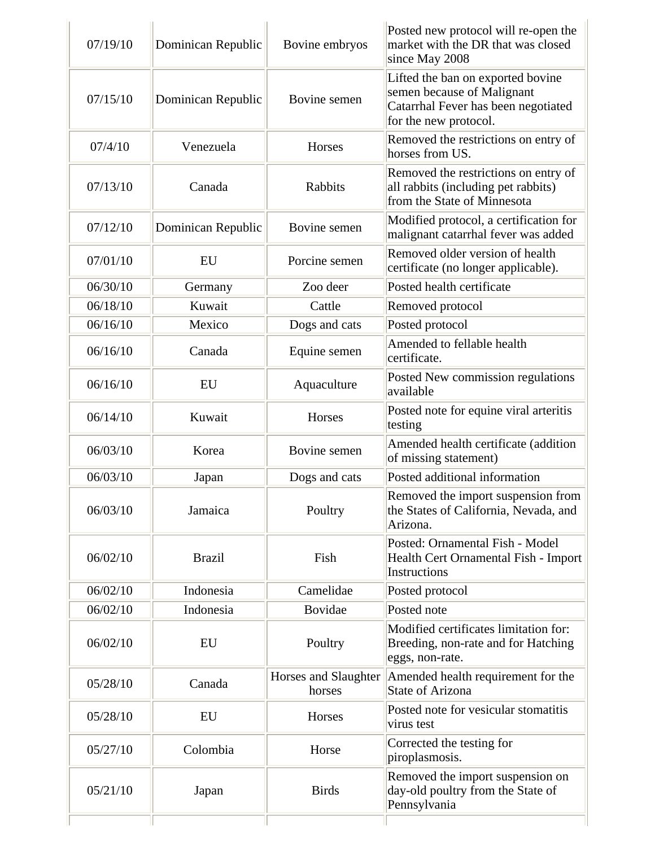| 07/19/10 | Dominican Republic | Bovine embryos                 | Posted new protocol will re-open the<br>market with the DR that was closed<br>since May 2008                                    |
|----------|--------------------|--------------------------------|---------------------------------------------------------------------------------------------------------------------------------|
| 07/15/10 | Dominican Republic | Bovine semen                   | Lifted the ban on exported bovine<br>semen because of Malignant<br>Catarrhal Fever has been negotiated<br>for the new protocol. |
| 07/4/10  | Venezuela          | Horses                         | Removed the restrictions on entry of<br>horses from US.                                                                         |
| 07/13/10 | Canada             | Rabbits                        | Removed the restrictions on entry of<br>all rabbits (including pet rabbits)<br>from the State of Minnesota                      |
| 07/12/10 | Dominican Republic | Bovine semen                   | Modified protocol, a certification for<br>malignant catarrhal fever was added                                                   |
| 07/01/10 | EU                 | Porcine semen                  | Removed older version of health<br>certificate (no longer applicable).                                                          |
| 06/30/10 | Germany            | Zoo deer                       | Posted health certificate                                                                                                       |
| 06/18/10 | Kuwait             | Cattle                         | Removed protocol                                                                                                                |
| 06/16/10 | Mexico             | Dogs and cats                  | Posted protocol                                                                                                                 |
| 06/16/10 | Canada             | Equine semen                   | Amended to fellable health<br>certificate.                                                                                      |
| 06/16/10 | EU                 | Aquaculture                    | Posted New commission regulations<br>available                                                                                  |
| 06/14/10 | Kuwait             | Horses                         | Posted note for equine viral arteritis<br>testing                                                                               |
| 06/03/10 | Korea              | Bovine semen                   | Amended health certificate (addition<br>of missing statement)                                                                   |
| 06/03/10 | Japan              | Dogs and cats                  | Posted additional information                                                                                                   |
| 06/03/10 | Jamaica            | Poultry                        | Removed the import suspension from<br>the States of California, Nevada, and<br>Arizona.                                         |
| 06/02/10 | <b>Brazil</b>      | Fish                           | Posted: Ornamental Fish - Model<br>Health Cert Ornamental Fish - Import<br>Instructions                                         |
| 06/02/10 | Indonesia          | Camelidae                      | Posted protocol                                                                                                                 |
| 06/02/10 | Indonesia          | Bovidae                        | Posted note                                                                                                                     |
| 06/02/10 | EU                 | Poultry                        | Modified certificates limitation for:<br>Breeding, non-rate and for Hatching<br>eggs, non-rate.                                 |
| 05/28/10 | Canada             | Horses and Slaughter<br>horses | Amended health requirement for the<br><b>State of Arizona</b>                                                                   |
| 05/28/10 | EU                 | Horses                         | Posted note for vesicular stomatitis<br>virus test                                                                              |
| 05/27/10 | Colombia           | Horse                          | Corrected the testing for<br>piroplasmosis.                                                                                     |
| 05/21/10 | Japan              | <b>Birds</b>                   | Removed the import suspension on<br>day-old poultry from the State of<br>Pennsylvania                                           |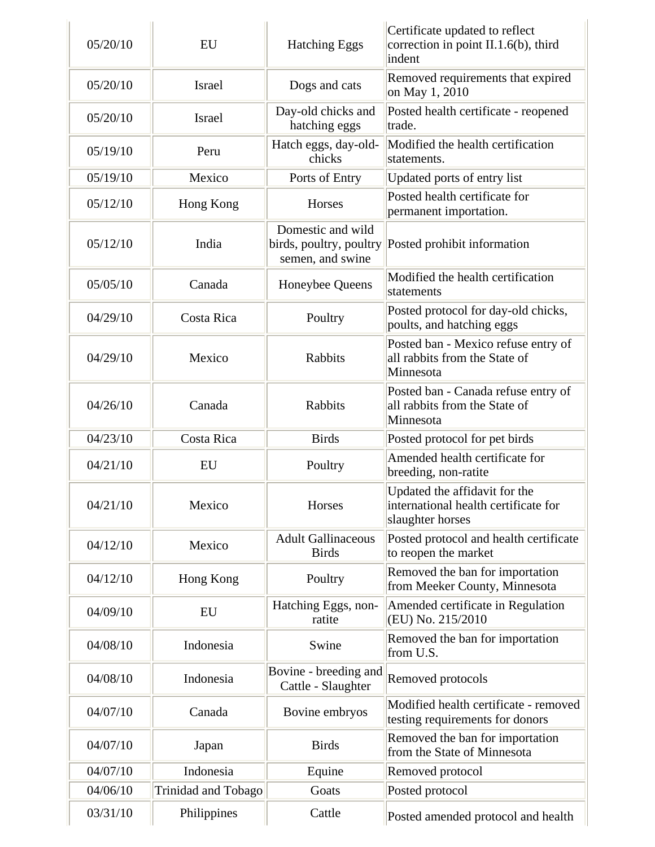| 05/20/10 | EU                  | <b>Hatching Eggs</b>                                             | Certificate updated to reflect<br>correction in point II.1.6(b), third<br>indent          |
|----------|---------------------|------------------------------------------------------------------|-------------------------------------------------------------------------------------------|
| 05/20/10 | <b>Israel</b>       | Dogs and cats                                                    | Removed requirements that expired<br>on May 1, 2010                                       |
| 05/20/10 | <b>Israel</b>       | Day-old chicks and<br>hatching eggs                              | Posted health certificate - reopened<br>trade.                                            |
| 05/19/10 | Peru                | Hatch eggs, day-old-<br>chicks                                   | Modified the health certification<br>statements.                                          |
| 05/19/10 | Mexico              | Ports of Entry                                                   | Updated ports of entry list                                                               |
| 05/12/10 | Hong Kong           | Horses                                                           | Posted health certificate for<br>permanent importation.                                   |
| 05/12/10 | India               | Domestic and wild<br>birds, poultry, poultry<br>semen, and swine | Posted prohibit information                                                               |
| 05/05/10 | Canada              | Honeybee Queens                                                  | Modified the health certification<br>statements                                           |
| 04/29/10 | Costa Rica          | Poultry                                                          | Posted protocol for day-old chicks,<br>poults, and hatching eggs                          |
| 04/29/10 | Mexico              | <b>Rabbits</b>                                                   | Posted ban - Mexico refuse entry of<br>all rabbits from the State of<br>Minnesota         |
| 04/26/10 | Canada              | Rabbits                                                          | Posted ban - Canada refuse entry of<br>all rabbits from the State of<br>Minnesota         |
| 04/23/10 | Costa Rica          | <b>Birds</b>                                                     | Posted protocol for pet birds                                                             |
| 04/21/10 | EU                  | Poultry                                                          | Amended health certificate for<br>breeding, non-ratite                                    |
| 04/21/10 | Mexico              | Horses                                                           | Updated the affidavit for the<br>international health certificate for<br>slaughter horses |
| 04/12/10 | Mexico              | <b>Adult Gallinaceous</b><br><b>Birds</b>                        | Posted protocol and health certificate<br>to reopen the market                            |
| 04/12/10 | Hong Kong           | Poultry                                                          | Removed the ban for importation<br>from Meeker County, Minnesota                          |
| 04/09/10 | EU                  | Hatching Eggs, non-<br>ratite                                    | Amended certificate in Regulation<br>(EU) No. 215/2010                                    |
| 04/08/10 | Indonesia           | Swine                                                            | Removed the ban for importation<br>from U.S.                                              |
| 04/08/10 | Indonesia           | Bovine - breeding and<br>Cattle - Slaughter                      | Removed protocols                                                                         |
| 04/07/10 | Canada              | Bovine embryos                                                   | Modified health certificate - removed<br>testing requirements for donors                  |
| 04/07/10 | Japan               | <b>Birds</b>                                                     | Removed the ban for importation<br>from the State of Minnesota                            |
| 04/07/10 | Indonesia           | Equine                                                           | Removed protocol                                                                          |
| 04/06/10 | Trinidad and Tobago | Goats                                                            | Posted protocol                                                                           |
| 03/31/10 | Philippines         | Cattle                                                           | Posted amended protocol and health                                                        |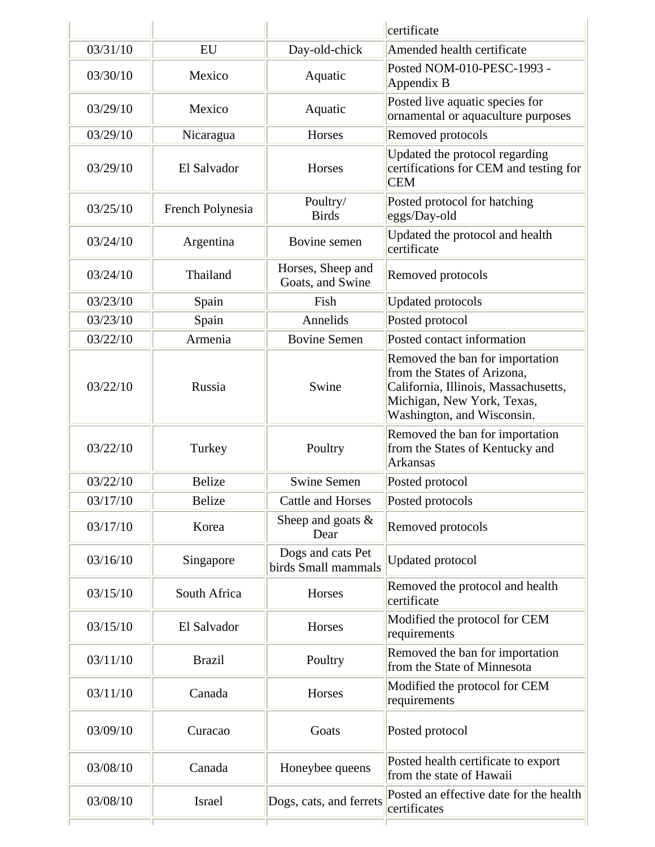|          |                  |                                          | certificate                                                                                                                                                        |
|----------|------------------|------------------------------------------|--------------------------------------------------------------------------------------------------------------------------------------------------------------------|
| 03/31/10 | EU               | Day-old-chick                            | Amended health certificate                                                                                                                                         |
| 03/30/10 | Mexico           | Aquatic                                  | Posted NOM-010-PESC-1993 -<br>Appendix B                                                                                                                           |
| 03/29/10 | Mexico           | Aquatic                                  | Posted live aquatic species for<br>ornamental or aquaculture purposes                                                                                              |
| 03/29/10 | Nicaragua        | Horses                                   | Removed protocols                                                                                                                                                  |
| 03/29/10 | El Salvador      | Horses                                   | Updated the protocol regarding<br>certifications for CEM and testing for<br><b>CEM</b>                                                                             |
| 03/25/10 | French Polynesia | Poultry/<br><b>Birds</b>                 | Posted protocol for hatching<br>eggs/Day-old                                                                                                                       |
| 03/24/10 | Argentina        | Bovine semen                             | Updated the protocol and health<br>certificate                                                                                                                     |
| 03/24/10 | Thailand         | Horses, Sheep and<br>Goats, and Swine    | Removed protocols                                                                                                                                                  |
| 03/23/10 | Spain            | Fish                                     | <b>Updated protocols</b>                                                                                                                                           |
| 03/23/10 | Spain            | Annelids                                 | Posted protocol                                                                                                                                                    |
| 03/22/10 | Armenia          | <b>Bovine Semen</b>                      | Posted contact information                                                                                                                                         |
| 03/22/10 | Russia           | Swine                                    | Removed the ban for importation<br>from the States of Arizona,<br>California, Illinois, Massachusetts,<br>Michigan, New York, Texas,<br>Washington, and Wisconsin. |
| 03/22/10 | Turkey           | Poultry                                  | Removed the ban for importation<br>from the States of Kentucky and<br><b>Arkansas</b>                                                                              |
| 03/22/10 | <b>Belize</b>    | <b>Swine Semen</b>                       | Posted protocol                                                                                                                                                    |
| 03/17/10 | <b>Belize</b>    | <b>Cattle and Horses</b>                 | Posted protocols                                                                                                                                                   |
| 03/17/10 | Korea            | Sheep and goats $\&$<br>Dear             | Removed protocols                                                                                                                                                  |
| 03/16/10 | Singapore        | Dogs and cats Pet<br>birds Small mammals | <b>Updated protocol</b>                                                                                                                                            |
| 03/15/10 | South Africa     | Horses                                   | Removed the protocol and health<br>certificate                                                                                                                     |
| 03/15/10 | El Salvador      | Horses                                   | Modified the protocol for CEM<br>requirements                                                                                                                      |
| 03/11/10 | <b>Brazil</b>    | Poultry                                  | Removed the ban for importation<br>from the State of Minnesota                                                                                                     |
| 03/11/10 | Canada           | Horses                                   | Modified the protocol for CEM<br>requirements                                                                                                                      |
| 03/09/10 | Curacao          | Goats                                    | Posted protocol                                                                                                                                                    |
| 03/08/10 | Canada           | Honeybee queens                          | Posted health certificate to export<br>from the state of Hawaii                                                                                                    |
| 03/08/10 | Israel           | Dogs, cats, and ferrets                  | Posted an effective date for the health<br>certificates                                                                                                            |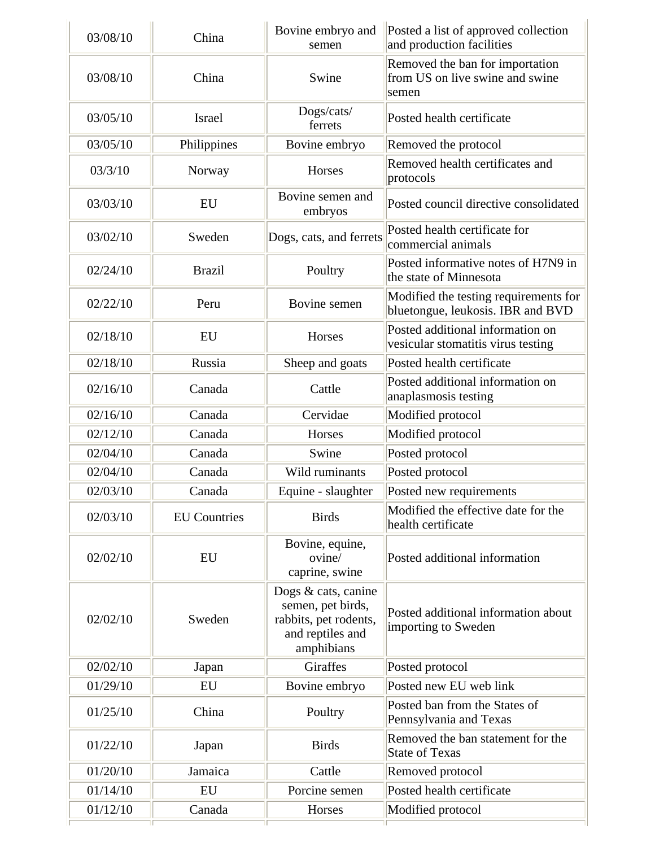| 03/08/10 | China               | Bovine embryo and<br>semen                                                                          | Posted a list of approved collection<br>and production facilities           |
|----------|---------------------|-----------------------------------------------------------------------------------------------------|-----------------------------------------------------------------------------|
| 03/08/10 | China               | Swine                                                                                               | Removed the ban for importation<br>from US on live swine and swine<br>semen |
| 03/05/10 | <b>Israel</b>       | Dogs/cats/<br>ferrets                                                                               | Posted health certificate                                                   |
| 03/05/10 | Philippines         | Bovine embryo                                                                                       | Removed the protocol                                                        |
| 03/3/10  | Norway              | Horses                                                                                              | Removed health certificates and<br>protocols                                |
| 03/03/10 | EU                  | Bovine semen and<br>embryos                                                                         | Posted council directive consolidated                                       |
| 03/02/10 | Sweden              | Dogs, cats, and ferrets                                                                             | Posted health certificate for<br>commercial animals                         |
| 02/24/10 | <b>Brazil</b>       | Poultry                                                                                             | Posted informative notes of H7N9 in<br>the state of Minnesota               |
| 02/22/10 | Peru                | Bovine semen                                                                                        | Modified the testing requirements for<br>bluetongue, leukosis. IBR and BVD  |
| 02/18/10 | EU                  | Horses                                                                                              | Posted additional information on<br>vesicular stomatitis virus testing      |
| 02/18/10 | Russia              | Sheep and goats                                                                                     | Posted health certificate                                                   |
| 02/16/10 | Canada              | Cattle                                                                                              | Posted additional information on<br>anaplasmosis testing                    |
| 02/16/10 | Canada              | Cervidae                                                                                            | Modified protocol                                                           |
| 02/12/10 | Canada              | Horses                                                                                              | Modified protocol                                                           |
| 02/04/10 | Canada              | Swine                                                                                               | Posted protocol                                                             |
| 02/04/10 | Canada              | Wild ruminants                                                                                      | Posted protocol                                                             |
| 02/03/10 | Canada              | Equine - slaughter                                                                                  | Posted new requirements                                                     |
| 02/03/10 | <b>EU</b> Countries | <b>Birds</b>                                                                                        | Modified the effective date for the<br>health certificate                   |
| 02/02/10 | <b>EU</b>           | Bovine, equine,<br>ovine/<br>caprine, swine                                                         | Posted additional information                                               |
| 02/02/10 | Sweden              | Dogs & cats, canine<br>semen, pet birds,<br>rabbits, pet rodents,<br>and reptiles and<br>amphibians | Posted additional information about<br>importing to Sweden                  |
| 02/02/10 | Japan               | <b>Giraffes</b>                                                                                     | Posted protocol                                                             |
| 01/29/10 | EU                  | Bovine embryo                                                                                       | Posted new EU web link                                                      |
| 01/25/10 | China               | Poultry                                                                                             | Posted ban from the States of<br>Pennsylvania and Texas                     |
| 01/22/10 | Japan               | <b>Birds</b>                                                                                        | Removed the ban statement for the<br><b>State of Texas</b>                  |
| 01/20/10 | Jamaica             | Cattle                                                                                              | Removed protocol                                                            |
| 01/14/10 | EU                  | Porcine semen                                                                                       | Posted health certificate                                                   |
| 01/12/10 | Canada              | Horses                                                                                              | Modified protocol                                                           |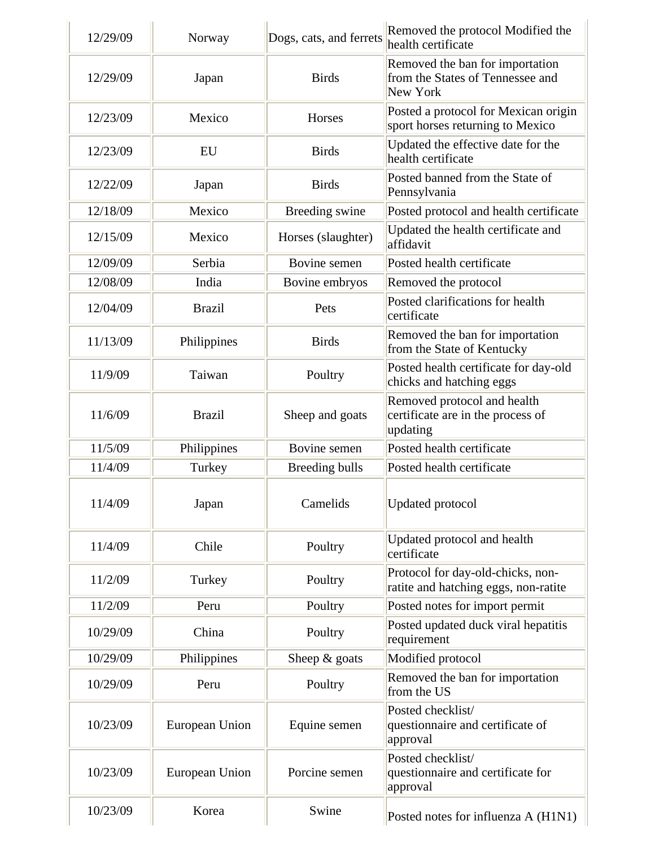| 12/29/09 | Norway         | Dogs, cats, and ferrets | Removed the protocol Modified the<br>health certificate                         |
|----------|----------------|-------------------------|---------------------------------------------------------------------------------|
| 12/29/09 | Japan          | <b>Birds</b>            | Removed the ban for importation<br>from the States of Tennessee and<br>New York |
| 12/23/09 | Mexico         | Horses                  | Posted a protocol for Mexican origin<br>sport horses returning to Mexico        |
| 12/23/09 | EU             | <b>Birds</b>            | Updated the effective date for the<br>health certificate                        |
| 12/22/09 | Japan          | <b>Birds</b>            | Posted banned from the State of<br>Pennsylvania                                 |
| 12/18/09 | Mexico         | Breeding swine          | Posted protocol and health certificate                                          |
| 12/15/09 | Mexico         | Horses (slaughter)      | Updated the health certificate and<br>affidavit                                 |
| 12/09/09 | Serbia         | Bovine semen            | Posted health certificate                                                       |
| 12/08/09 | India          | Bovine embryos          | Removed the protocol                                                            |
| 12/04/09 | <b>Brazil</b>  | Pets                    | Posted clarifications for health<br>certificate                                 |
| 11/13/09 | Philippines    | <b>Birds</b>            | Removed the ban for importation<br>from the State of Kentucky                   |
| 11/9/09  | Taiwan         | Poultry                 | Posted health certificate for day-old<br>chicks and hatching eggs               |
| 11/6/09  | <b>Brazil</b>  | Sheep and goats         | Removed protocol and health<br>certificate are in the process of<br>updating    |
| 11/5/09  | Philippines    | Bovine semen            | Posted health certificate                                                       |
| 11/4/09  | Turkey         | Breeding bulls          | Posted health certificate                                                       |
| 11/4/09  | Japan          | Camelids                | <b>Updated protocol</b>                                                         |
| 11/4/09  | Chile          | Poultry                 | Updated protocol and health<br>certificate                                      |
| 11/2/09  | Turkey         | Poultry                 | Protocol for day-old-chicks, non-<br>ratite and hatching eggs, non-ratite       |
| 11/2/09  | Peru           | Poultry                 | Posted notes for import permit                                                  |
| 10/29/09 | China          | Poultry                 | Posted updated duck viral hepatitis<br>requirement                              |
| 10/29/09 | Philippines    | Sheep $&$ goats         | Modified protocol                                                               |
| 10/29/09 | Peru           | Poultry                 | Removed the ban for importation<br>from the US                                  |
| 10/23/09 | European Union | Equine semen            | Posted checklist/<br>questionnaire and certificate of<br>approval               |
| 10/23/09 | European Union | Porcine semen           | Posted checklist/<br>questionnaire and certificate for<br>approval              |
| 10/23/09 | Korea          | Swine                   | Posted notes for influenza A (H1N1)                                             |